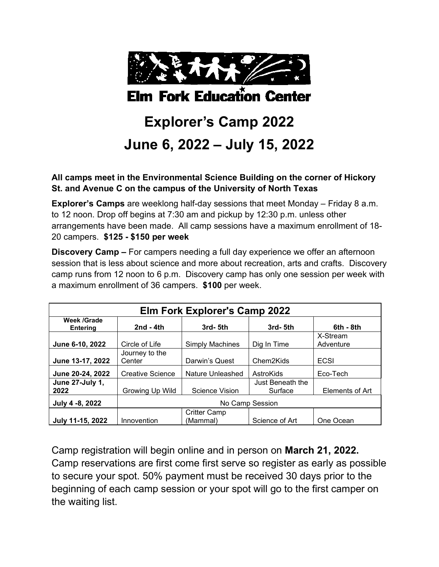

## **Elm Fork Education Center**

# **Explorer's Camp 2022 June 6, 2022 – July 15, 2022**

**All camps meet in the Environmental Science Building on the corner of Hickory St. and Avenue C on the campus of the University of North Texas**

**Explorer's Camps** are weeklong half-day sessions that meet Monday – Friday 8 a.m. to 12 noon. Drop off begins at 7:30 am and pickup by 12:30 p.m. unless other arrangements have been made. All camp sessions have a maximum enrollment of 18- 20 campers. **\$125 - \$150 per week**

**Discovery Camp –** For campers needing a full day experience we offer an afternoon session that is less about science and more about recreation, arts and crafts. Discovery camp runs from 12 noon to 6 p.m. Discovery camp has only one session per week with a maximum enrollment of 36 campers. **\$100** per week.

| <b>Elm Fork Explorer's Camp 2022</b> |                          |                                 |                             |                       |
|--------------------------------------|--------------------------|---------------------------------|-----------------------------|-----------------------|
| Week /Grade<br><b>Entering</b>       | $2nd - 4th$              | 3rd-5th                         | 3rd-5th                     | 6th - 8th             |
| June 6-10, 2022                      | Circle of Life           | <b>Simply Machines</b>          | Dig In Time                 | X-Stream<br>Adventure |
| June 13-17, 2022                     | Journey to the<br>Center | Darwin's Quest                  | Chem2Kids                   | ECSI                  |
| June 20-24, 2022                     | <b>Creative Science</b>  | Nature Unleashed                | AstroKids                   | Eco-Tech              |
| June 27-July 1,<br>2022              | Growing Up Wild          | Science Vision                  | Just Beneath the<br>Surface | Elements of Art       |
| July 4 -8, 2022                      | No Camp Session          |                                 |                             |                       |
| July 11-15, 2022                     | Innovention              | <b>Critter Camp</b><br>(Mammal) | Science of Art              | One Ocean             |

Camp registration will begin online and in person on **March 21, 2022.** Camp reservations are first come first serve so register as early as possible to secure your spot. 50% payment must be received 30 days prior to the beginning of each camp session or your spot will go to the first camper on the waiting list.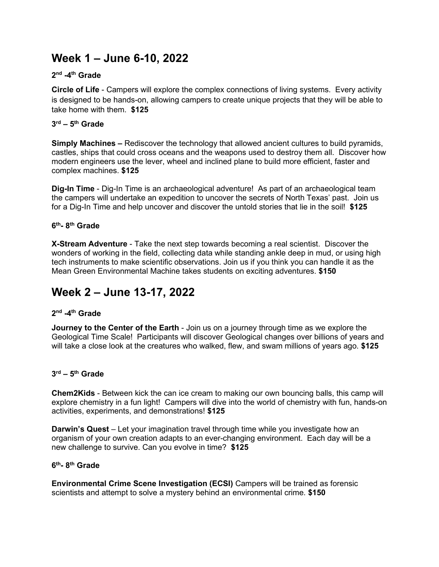## **Week 1 – June 6-10, 2022**

#### **2nd -4th Grade**

**Circle of Life** - Campers will explore the complex connections of living systems. Every activity is designed to be hands-on, allowing campers to create unique projects that they will be able to take home with them. **\$125**

#### **3rd – 5th Grade**

**Simply Machines –** Rediscover the technology that allowed ancient cultures to build pyramids, castles, ships that could cross oceans and the weapons used to destroy them all. Discover how modern engineers use the lever, wheel and inclined plane to build more efficient, faster and complex machines. **\$125**

**Dig-In Time** - Dig-In Time is an archaeological adventure! As part of an archaeological team the campers will undertake an expedition to uncover the secrets of North Texas' past. Join us for a Dig-In Time and help uncover and discover the untold stories that lie in the soil! **\$125**

#### **6th- 8th Grade**

**X-Stream Adventure** - Take the next step towards becoming a real scientist. Discover the wonders of working in the field, collecting data while standing ankle deep in mud, or using high tech instruments to make scientific observations. Join us if you think you can handle it as the Mean Green Environmental Machine takes students on exciting adventures. **\$150**

## **Week 2 – June 13-17, 2022**

#### **2nd -4th Grade**

**Journey to the Center of the Earth** - Join us on a journey through time as we explore the Geological Time Scale! Participants will discover Geological changes over billions of years and will take a close look at the creatures who walked, flew, and swam millions of years ago. **\$125**

#### **3rd – 5th Grade**

**Chem2Kids** - Between kick the can ice cream to making our own bouncing balls, this camp will explore chemistry in a fun light! Campers will dive into the world of chemistry with fun, hands-on activities, experiments, and demonstrations! **\$125**

**Darwin's Quest** – Let your imagination travel through time while you investigate how an organism of your own creation adapts to an ever-changing environment. Each day will be a new challenge to survive. Can you evolve in time? **\$125**

#### **6th- 8th Grade**

**Environmental Crime Scene Investigation (ECSI)** Campers will be trained as forensic scientists and attempt to solve a mystery behind an environmental crime. **\$150**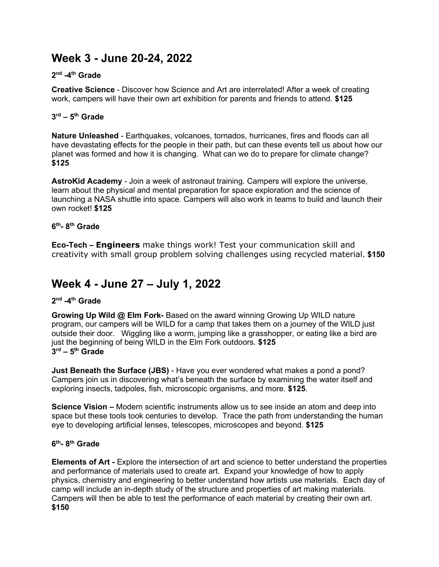## **Week 3 - June 20-24, 2022**

#### **2nd -4th Grade**

**Creative Science** - Discover how Science and Art are interrelated! After a week of creating work, campers will have their own art exhibition for parents and friends to attend. **\$125**

#### **3rd – 5th Grade**

**Nature Unleashed** - Earthquakes, volcanoes, tornados, hurricanes, fires and floods can all have devastating effects for the people in their path, but can these events tell us about how our planet was formed and how it is changing. What can we do to prepare for climate change? **\$125**

**AstroKid Academy** - Join a week of astronaut training. Campers will explore the universe, learn about the physical and mental preparation for space exploration and the science of launching a NASA shuttle into space. Campers will also work in teams to build and launch their own rocket! **\$125**

#### **6th- 8th Grade**

**Eco-Tech – Engineers** make things work! Test your communication skill and creativity with small group problem solving challenges using recycled material. **\$150**

## **Week 4 - June 27 – July 1, 2022**

#### **2nd -4th Grade**

**Growing Up Wild @ Elm Fork-** Based on the award winning Growing Up WILD nature program, our campers will be WILD for a camp that takes them on a journey of the WILD just outside their door. Wiggling like a worm, jumping like a grasshopper, or eating like a bird are just the beginning of being WILD in the Elm Fork outdoors. **\$125 3rd – 5th Grade** 

**Just Beneath the Surface (JBS)** - Have you ever wondered what makes a pond a pond? Campers join us in discovering what's beneath the surface by examining the water itself and exploring insects, tadpoles, fish, microscopic organisms, and more. **\$125**.

**Science Vision –** Modern scientific instruments allow us to see inside an atom and deep into space but these tools took centuries to develop. Trace the path from understanding the human eye to developing artificial lenses, telescopes, microscopes and beyond. **\$125**

#### **6th- 8th Grade**

**Elements of Art -** Explore the intersection of art and science to better understand the properties and performance of materials used to create art. Expand your knowledge of how to apply physics, chemistry and engineering to better understand how artists use materials. Each day of camp will include an in-depth study of the structure and properties of art making materials. Campers will then be able to test the performance of each material by creating their own art. **\$150**